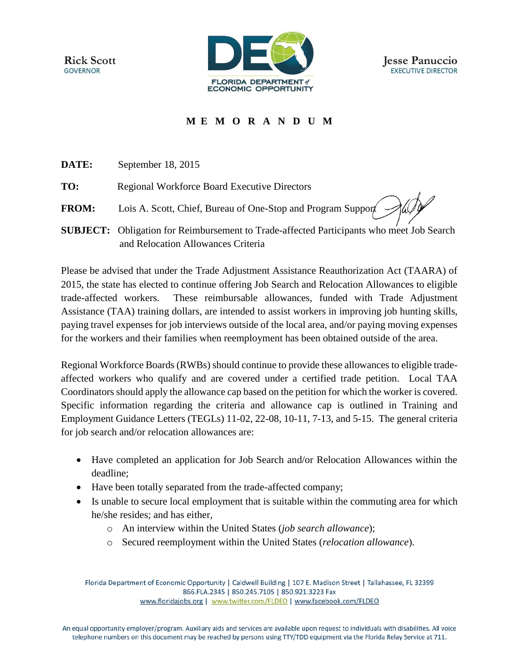**Rick Scott GOVERNOR** 



## **M E M O R A N D U M**

**DATE:** September 18, 2015

**TO:** Regional Workforce Board Executive Directors

- **FROM:** Lois A. Scott, Chief, Bureau of One-Stop and Program Support
- **SUBJECT:** Obligation for Reimbursement to Trade-affected Participants who meet Job Search and Relocation Allowances Criteria

Please be advised that under the Trade Adjustment Assistance Reauthorization Act (TAARA) of 2015, the state has elected to continue offering Job Search and Relocation Allowances to eligible trade-affected workers. These reimbursable allowances, funded with Trade Adjustment Assistance (TAA) training dollars, are intended to assist workers in improving job hunting skills, paying travel expenses for job interviews outside of the local area, and/or paying moving expenses for the workers and their families when reemployment has been obtained outside of the area.

Regional Workforce Boards (RWBs) should continue to provide these allowances to eligible tradeaffected workers who qualify and are covered under a certified trade petition. Local TAA Coordinators should apply the allowance cap based on the petition for which the worker is covered. Specific information regarding the criteria and allowance cap is outlined in Training and Employment Guidance Letters (TEGLs) 11-02, 22-08, 10-11, 7-13, and 5-15. The general criteria for job search and/or relocation allowances are:

- Have completed an application for Job Search and/or Relocation Allowances within the deadline;
- Have been totally separated from the trade-affected company;
- Is unable to secure local employment that is suitable within the commuting area for which he/she resides; and has either,
	- o An interview within the United States (*job search allowance*);
	- o Secured reemployment within the United States (*relocation allowance*).

Florida Department of Economic Opportunity | Caldwell Building | 107 E. Madison Street | Tallahassee, FL 32399 866.FLA.2345 | 850.245.7105 | 850.921.3223 Fax www.floridajobs.org | www.twitter.com/FLDEO | www.facebook.com/FLDEO

An equal opportunity employer/program. Auxiliary aids and services are available upon request to individuals with disabilities. All voice telephone numbers on this document may be reached by persons using TTY/TDD equipment via the Florida Relay Service at 711.